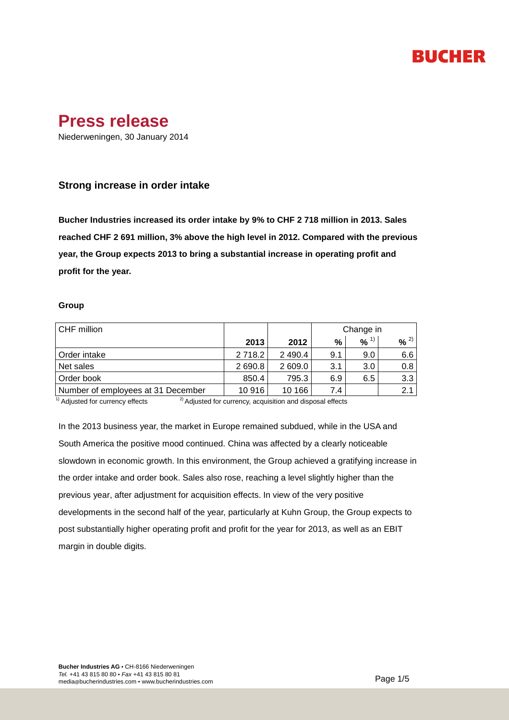# **BUCHER**

## **Press release**

Niederweningen, 30 January 2014

### **Strong increase in order intake**

**Bucher Industries increased its order intake by 9% to CHF 2 718 million in 2013. Sales reached CHF 2 691 million, 3% above the high level in 2012. Compared with the previous year, the Group expects 2013 to bring a substantial increase in operating profit and profit for the year.**

### **Group**

| CHF million                        |          |           | Change in |                     |         |
|------------------------------------|----------|-----------|-----------|---------------------|---------|
|                                    | 2013     | 2012      | %         | $9/6$ <sup>1)</sup> | 2)<br>% |
| l Order intake                     | 2 7 18.2 | 2 4 9 0.4 | 9.1       | 9.0                 | 6.6     |
| Net sales                          | 2 690.8  | 2 609.0   | 3.1       | 3.0                 | 0.8     |
| Order book                         | 850.4    | 795.3     | 6.9       | 6.5                 | 3.3     |
| Number of employees at 31 December | 10916    | 10 166    | 7.4       |                     | 2.1     |

 $\frac{1}{1}$  Adjusted for currency effects  $\frac{2}{1}$  Adjusted for currency, acquisition and disposal effects

In the 2013 business year, the market in Europe remained subdued, while in the USA and South America the positive mood continued. China was affected by a clearly noticeable slowdown in economic growth. In this environment, the Group achieved a gratifying increase in the order intake and order book. Sales also rose, reaching a level slightly higher than the previous year, after adjustment for acquisition effects. In view of the very positive developments in the second half of the year, particularly at Kuhn Group, the Group expects to post substantially higher operating profit and profit for the year for 2013, as well as an EBIT margin in double digits.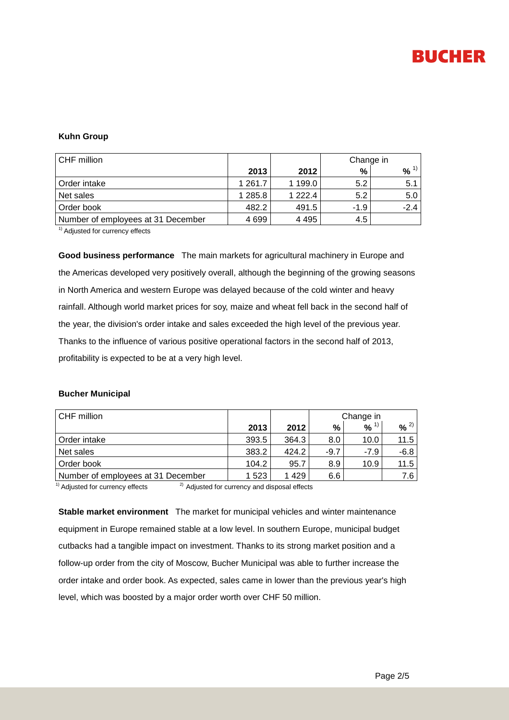

### **Kuhn Group**

| CHF million                        |             |             | Change in |        |  |
|------------------------------------|-------------|-------------|-----------|--------|--|
|                                    | 2013        | 2012        | %         | %      |  |
| Order intake                       | 1 2 6 1 . 7 | 1 199.0     | 5.2       | 5.1    |  |
| Net sales                          | 1 285.8     | 1 2 2 2 . 4 | 5.2       | 5.0    |  |
| Order book                         | 482.2       | 491.5       | $-1.9$    | $-2.4$ |  |
| Number of employees at 31 December | 4699        | 4 4 9 5     | 4.5       |        |  |

<sup>1)</sup> Adjusted for currency effects

**Good business performance** The main markets for agricultural machinery in Europe and the Americas developed very positively overall, although the beginning of the growing seasons in North America and western Europe was delayed because of the cold winter and heavy rainfall. Although world market prices for soy, maize and wheat fell back in the second half of the year, the division's order intake and sales exceeded the high level of the previous year. Thanks to the influence of various positive operational factors in the second half of 2013, profitability is expected to be at a very high level.

#### **Bucher Municipal**

| CHF million                        |         |         | Change in |                     |                     |
|------------------------------------|---------|---------|-----------|---------------------|---------------------|
|                                    | 2013    | 2012    | %         | $9/6$ <sup>1)</sup> | $9/2$ <sup>2)</sup> |
| l Order intake                     | 393.5   | 364.3   | 8.0       | 10.0                | 11.5                |
| Net sales                          | 383.2   | 424.2   | $-9.7$    | -7.9                | $-6.8$              |
| Order book                         | 104.2   | 95.7    | 8.9       | 10.9                | 11.5                |
| Number of employees at 31 December | 1 5 2 3 | 1 4 2 9 | 6.6       |                     | 7.6                 |

<sup>1)</sup> Adjusted for currency effects  $^{2)}$  Adjusted for currency and disposal effects

**Stable market environment** The market for municipal vehicles and winter maintenance equipment in Europe remained stable at a low level. In southern Europe, municipal budget cutbacks had a tangible impact on investment. Thanks to its strong market position and a follow-up order from the city of Moscow, Bucher Municipal was able to further increase the order intake and order book. As expected, sales came in lower than the previous year's high level, which was boosted by a major order worth over CHF 50 million.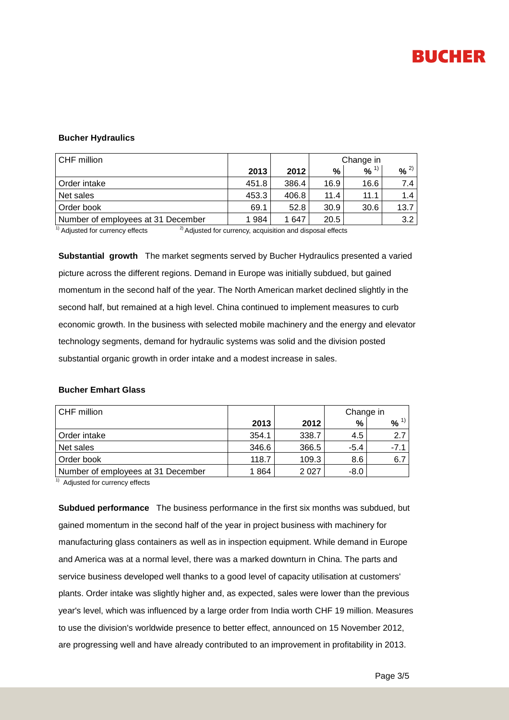

### **Bucher Hydraulics**

| CHF million                        |       |       | Change in |                     |      |
|------------------------------------|-------|-------|-----------|---------------------|------|
|                                    | 2013  | 2012  | %         | $9/6$ <sup>1)</sup> | 9/2  |
| Order intake                       | 451.8 | 386.4 | 16.9      | 16.6                | 7.4  |
| Net sales                          | 453.3 | 406.8 | 11.4      | 11.1                | 1.4  |
| Order book                         | 69.1  | 52.8  | 30.9      | 30.6                | 13.7 |
| Number of employees at 31 December | 1984  | 647   | 20.5      |                     | 3.2  |

 $\overline{1}$ <sup>1)</sup> Adjusted for currency effects  $\overline{2}$ <sup>2)</sup> Adjusted for currency, acquisition and disposal effects

**Substantial growth** The market segments served by Bucher Hydraulics presented a varied picture across the different regions. Demand in Europe was initially subdued, but gained momentum in the second half of the year. The North American market declined slightly in the second half, but remained at a high level. China continued to implement measures to curb economic growth. In the business with selected mobile machinery and the energy and elevator technology segments, demand for hydraulic systems was solid and the division posted substantial organic growth in order intake and a modest increase in sales.

#### **Bucher Emhart Glass**

| CHF million                        |       |       | Change in |           |  |
|------------------------------------|-------|-------|-----------|-----------|--|
|                                    | 2013  | 2012  | %         | $96^{11}$ |  |
| Order intake                       | 354.1 | 338.7 | 4.5       | 2.7       |  |
| Net sales                          | 346.6 | 366.5 | $-5.4$    | -7.1      |  |
| Order book                         | 118.7 | 109.3 | 8.6       | 6.7       |  |
| Number of employees at 31 December | 1864  | 2027  | $-8.0$    |           |  |

<sup>1)</sup> Adjusted for currency effects

**Subdued performance** The business performance in the first six months was subdued, but gained momentum in the second half of the year in project business with machinery for manufacturing glass containers as well as in inspection equipment. While demand in Europe and America was at a normal level, there was a marked downturn in China. The parts and service business developed well thanks to a good level of capacity utilisation at customers' plants. Order intake was slightly higher and, as expected, sales were lower than the previous year's level, which was influenced by a large order from India worth CHF 19 million. Measures to use the division's worldwide presence to better effect, announced on 15 November 2012, are progressing well and have already contributed to an improvement in profitability in 2013.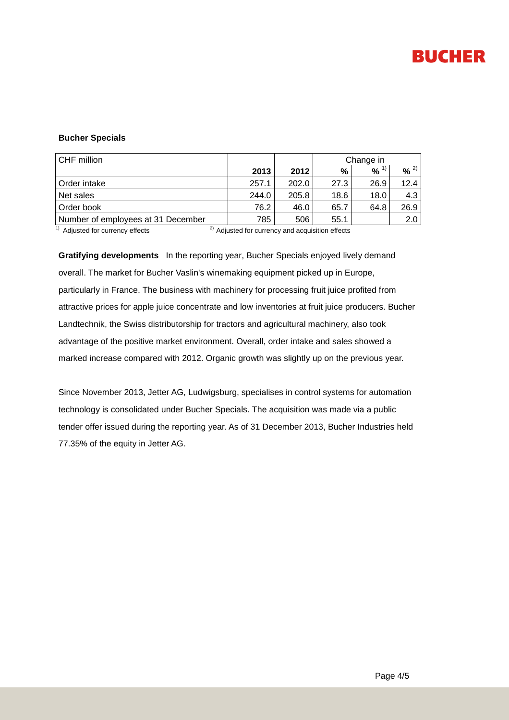

### **Bucher Specials**

| CHF million                        |       |       | Change in |          |          |  |
|------------------------------------|-------|-------|-----------|----------|----------|--|
|                                    | 2013  | 2012  | %         | $% ^{1}$ | $% ^{2}$ |  |
| Order intake                       | 257.1 | 202.0 | 27.3      | 26.9     | 12.4     |  |
| Net sales                          | 244.0 | 205.8 | 18.6      | 18.0     | 4.3      |  |
| Order book                         | 76.2  | 46.0  | 65.7      | 64.8     | 26.9     |  |
| Number of employees at 31 December | 785   | 506   | 55.1      |          | 2.0      |  |

 $1)$  Adjusted for currency effects  $2)$  Adjusted for currency and acquisition effects

**Gratifying developments** In the reporting year, Bucher Specials enjoyed lively demand overall. The market for Bucher Vaslin's winemaking equipment picked up in Europe, particularly in France. The business with machinery for processing fruit juice profited from attractive prices for apple juice concentrate and low inventories at fruit juice producers. Bucher Landtechnik, the Swiss distributorship for tractors and agricultural machinery, also took advantage of the positive market environment. Overall, order intake and sales showed a marked increase compared with 2012. Organic growth was slightly up on the previous year.

Since November 2013, Jetter AG, Ludwigsburg, specialises in control systems for automation technology is consolidated under Bucher Specials. The acquisition was made via a public tender offer issued during the reporting year. As of 31 December 2013, Bucher Industries held 77.35% of the equity in Jetter AG.